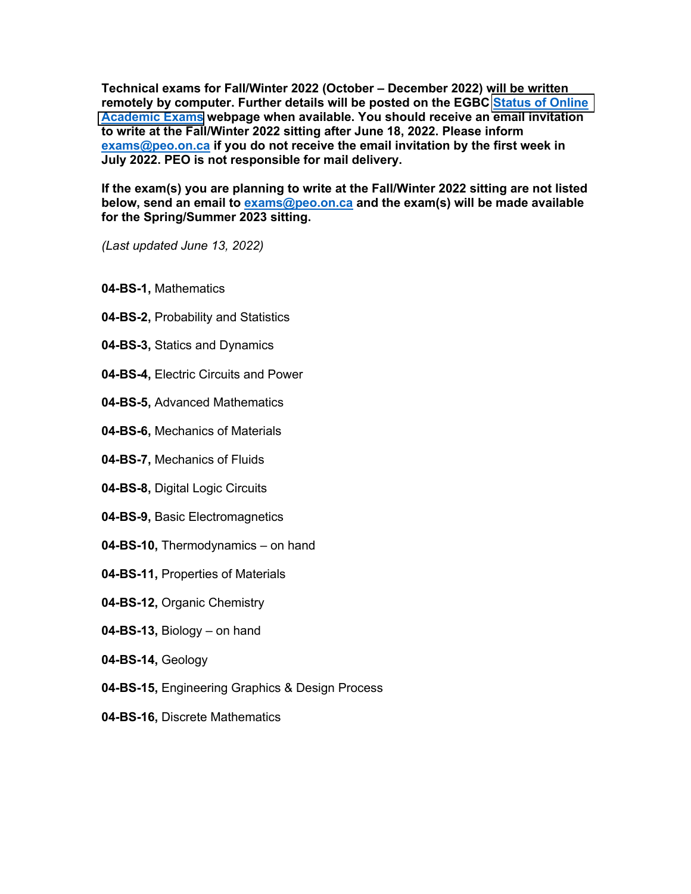**Technical exams for Fall/Winter 2022 (October – December 2022) will be written remotely by computer. Further details will be posted on the EGBC [Status of Online](https://www.egbc.ca/Registration/Individual-Registrants/How-to-Apply/Examinations-Seminars/Academic-Examinations/Status-of-Online-Academic-Exams)  [Academic Exams](https://www.egbc.ca/Registration/Individual-Registrants/How-to-Apply/Examinations-Seminars/Academic-Examinations/Status-of-Online-Academic-Exams) webpage when available. You should receive an email invitation to write at the Fall/Winter 2022 sitting after June 18, 2022. Please inform exams@peo.on.ca if you do not receive the email invitation by the first week in July 2022. PEO is not responsible for mail delivery.** 

**If the exam(s) you are planning to write at the Fall/Winter 2022 sitting are not listed below, send an email to exams@peo.on.ca and the exam(s) will be made available for the Spring/Summer 2023 sitting.** 

*(Last updated June 13, 2022)*

- **04-BS-1,** Mathematics
- **04-BS-2,** Probability and Statistics
- **04-BS-3,** Statics and Dynamics
- **04-BS-4,** Electric Circuits and Power
- **04-BS-5,** Advanced Mathematics
- **04-BS-6,** Mechanics of Materials
- **04-BS-7,** Mechanics of Fluids
- **04-BS-8,** Digital Logic Circuits
- **04-BS-9,** Basic Electromagnetics
- **04-BS-10,** Thermodynamics on hand
- **04-BS-11,** Properties of Materials
- **04-BS-12,** Organic Chemistry
- **04-BS-13,** Biology on hand
- **04-BS-14,** Geology
- **04-BS-15,** Engineering Graphics & Design Process
- **04-BS-16,** Discrete Mathematics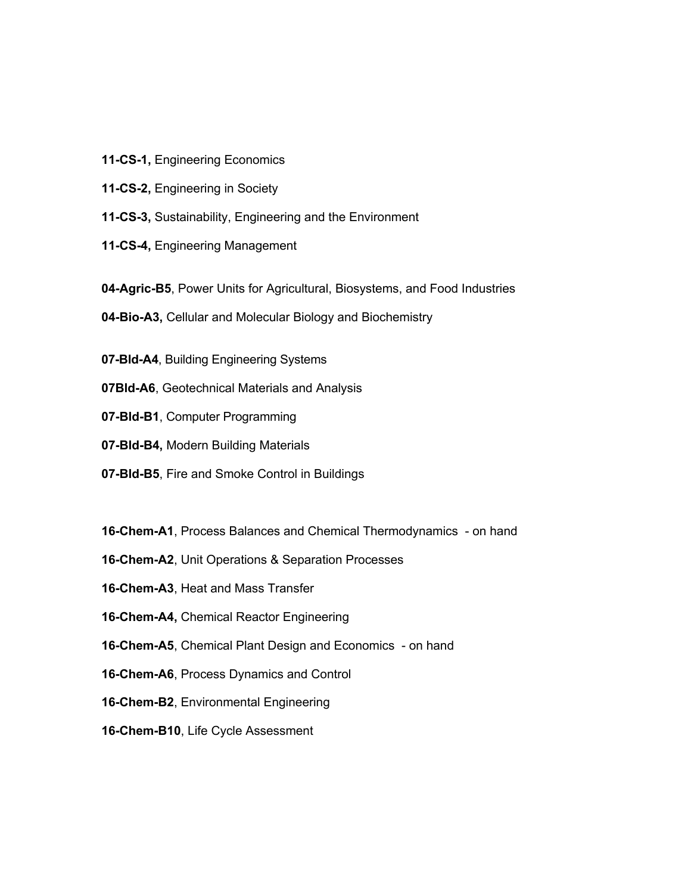- **11-CS-1,** Engineering Economics
- **11-CS-2,** Engineering in Society
- **11-CS-3,** Sustainability, Engineering and the Environment
- **11-CS-4,** Engineering Management
- **04-Agric-B5**, Power Units for Agricultural, Biosystems, and Food Industries
- **04-Bio-A3,** Cellular and Molecular Biology and Biochemistry
- **07-Bld-A4**, Building Engineering Systems
- **07Bld-A6**, Geotechnical Materials and Analysis
- **07-Bld-B1**, Computer Programming
- **07-Bld-B4,** Modern Building Materials
- **07-Bld-B5**, Fire and Smoke Control in Buildings
- **16-Chem-A1**, Process Balances and Chemical Thermodynamics on hand
- **16-Chem-A2**, Unit Operations & Separation Processes
- **16-Chem-A3**, Heat and Mass Transfer
- **16-Chem-A4,** Chemical Reactor Engineering
- **16-Chem-A5**, Chemical Plant Design and Economics on hand
- **16-Chem-A6**, Process Dynamics and Control
- **16-Chem-B2**, Environmental Engineering
- **16-Chem-B10**, Life Cycle Assessment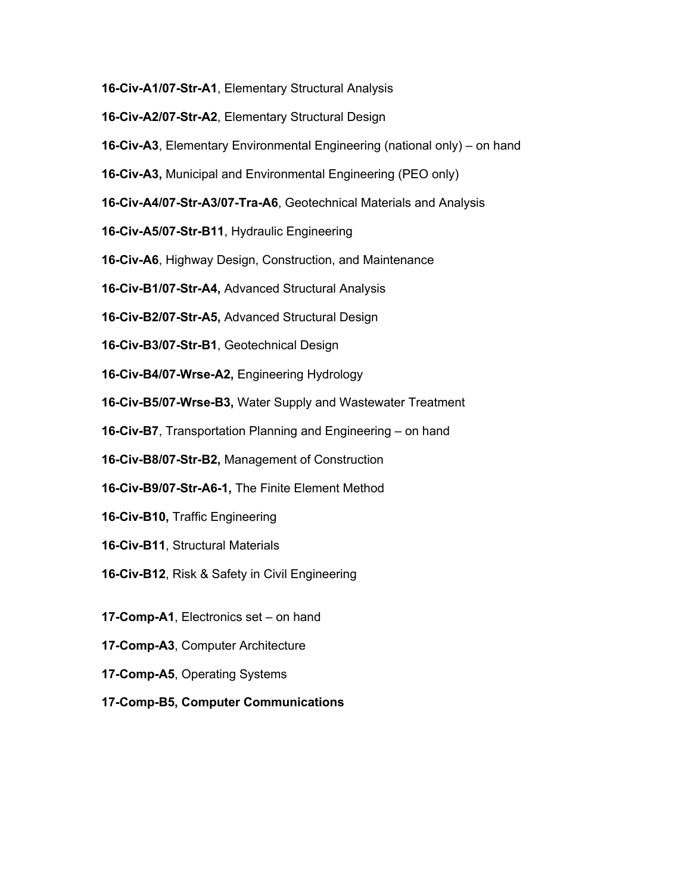- **16-Civ-A1/07-Str-A1**, Elementary Structural Analysis
- **16-Civ-A2/07-Str-A2**, Elementary Structural Design
- **16-Civ-A3**, Elementary Environmental Engineering (national only) on hand
- **16-Civ-A3,** Municipal and Environmental Engineering (PEO only)
- **16-Civ-A4/07-Str-A3/07-Tra-A6**, Geotechnical Materials and Analysis
- **16-Civ-A5/07-Str-B11**, Hydraulic Engineering
- **16-Civ-A6**, Highway Design, Construction, and Maintenance
- **16-Civ-B1/07-Str-A4,** Advanced Structural Analysis
- **16-Civ-B2/07-Str-A5,** Advanced Structural Design
- **16-Civ-B3/07-Str-B1**, Geotechnical Design
- **16-Civ-B4/07-Wrse-A2,** Engineering Hydrology
- **16-Civ-B5/07-Wrse-B3,** Water Supply and Wastewater Treatment
- **16-Civ-B7**, Transportation Planning and Engineering on hand
- **16-Civ-B8/07-Str-B2,** Management of Construction
- **16-Civ-B9/07-Str-A6-1,** The Finite Element Method
- **16-Civ-B10,** Traffic Engineering
- **16-Civ-B11**, Structural Materials
- **16-Civ-B12**, Risk & Safety in Civil Engineering
- **17-Comp-A1**, Electronics set on hand
- **17-Comp-A3**, Computer Architecture
- **17-Comp-A5**, Operating Systems
- **17-Comp-B5, Computer Communications**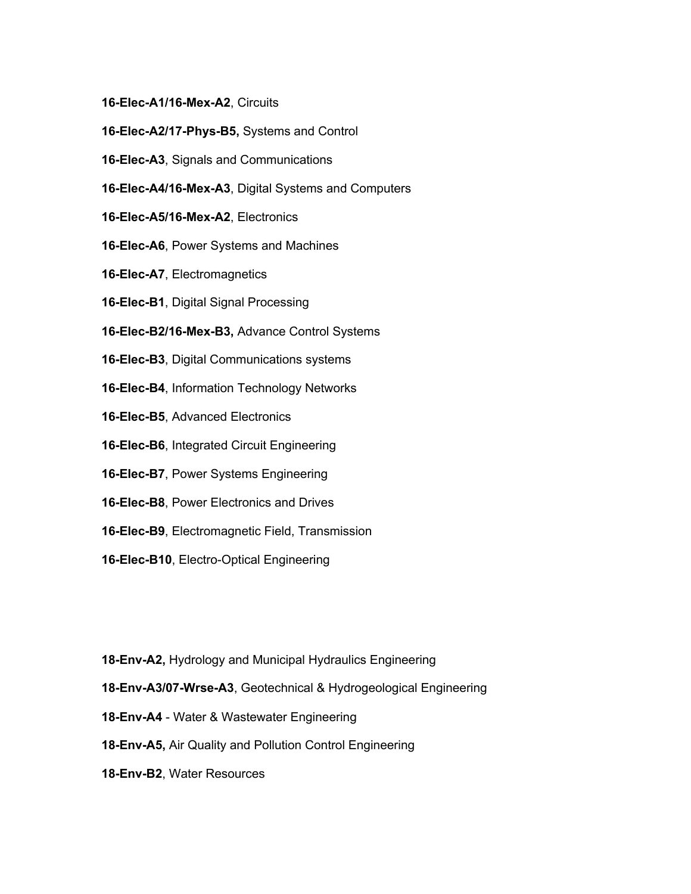- **16-Elec-A1/16-Mex-A2**, Circuits
- **16-Elec-A2/17-Phys-B5,** Systems and Control
- **16-Elec-A3**, Signals and Communications
- **16-Elec-A4/16-Mex-A3**, Digital Systems and Computers
- **16-Elec-A5/16-Mex-A2**, Electronics
- **16-Elec-A6**, Power Systems and Machines
- **16-Elec-A7**, Electromagnetics
- **16-Elec-B1**, Digital Signal Processing
- **16-Elec-B2/16-Mex-B3,** Advance Control Systems
- **16-Elec-B3**, Digital Communications systems
- **16-Elec-B4**, Information Technology Networks
- **16-Elec-B5**, Advanced Electronics
- **16-Elec-B6**, Integrated Circuit Engineering
- **16-Elec-B7**, Power Systems Engineering
- **16-Elec-B8**, Power Electronics and Drives
- **16-Elec-B9**, Electromagnetic Field, Transmission
- **16-Elec-B10**, Electro-Optical Engineering

**18-Env-A2,** Hydrology and Municipal Hydraulics Engineering

- **18-Env-A3/07-Wrse-A3**, Geotechnical & Hydrogeological Engineering
- **18-Env-A4** Water & Wastewater Engineering
- **18-Env-A5,** Air Quality and Pollution Control Engineering
- **18-Env-B2**, Water Resources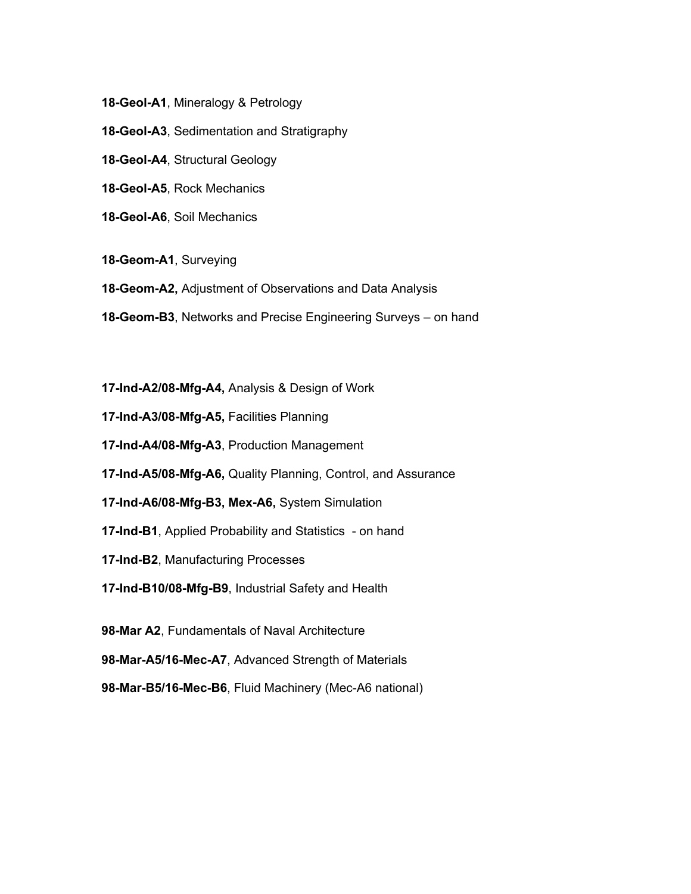**18-Geol-A1**, Mineralogy & Petrology

**18-Geol-A3**, Sedimentation and Stratigraphy

**18-Geol-A4**, Structural Geology

**18-Geol-A5**, Rock Mechanics

**18-Geol-A6**, Soil Mechanics

**18-Geom-A1**, Surveying

**18-Geom-A2,** Adjustment of Observations and Data Analysis

**18-Geom-B3**, Networks and Precise Engineering Surveys – on hand

**17-Ind-A2/08-Mfg-A4,** Analysis & Design of Work

**17-Ind-A3/08-Mfg-A5,** Facilities Planning

**17-Ind-A4/08-Mfg-A3**, Production Management

**17-Ind-A5/08-Mfg-A6,** Quality Planning, Control, and Assurance

**17-Ind-A6/08-Mfg-B3, Mex-A6,** System Simulation

**17-Ind-B1**, Applied Probability and Statistics - on hand

**17-Ind-B2**, Manufacturing Processes

**17-Ind-B10/08-Mfg-B9**, Industrial Safety and Health

**98-Mar A2**, Fundamentals of Naval Architecture

**98-Mar-A5/16-Mec-A7**, Advanced Strength of Materials

**98-Mar-B5/16-Mec-B6**, Fluid Machinery (Mec-A6 national)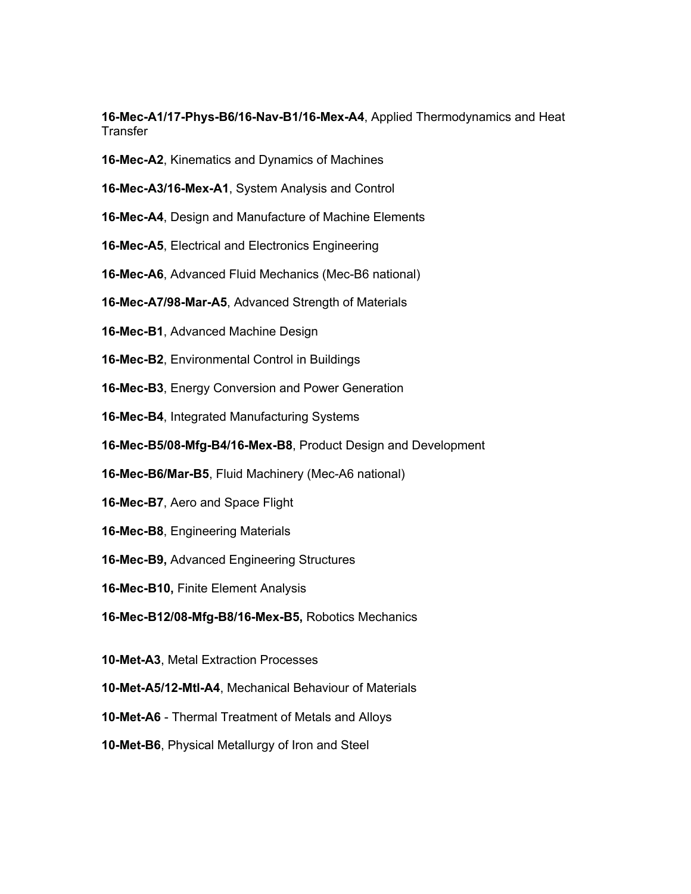**16-Mec-A1/17-Phys-B6/16-Nav-B1/16-Mex-A4**, Applied Thermodynamics and Heat **Transfer** 

- **16-Mec-A2**, Kinematics and Dynamics of Machines
- **16-Mec-A3/16-Mex-A1**, System Analysis and Control
- **16-Mec-A4**, Design and Manufacture of Machine Elements
- **16-Mec-A5**, Electrical and Electronics Engineering
- **16-Mec-A6**, Advanced Fluid Mechanics (Mec-B6 national)
- **16-Mec-A7/98-Mar-A5**, Advanced Strength of Materials
- **16-Mec-B1**, Advanced Machine Design
- **16-Mec-B2**, Environmental Control in Buildings
- **16-Mec-B3**, Energy Conversion and Power Generation
- **16-Mec-B4**, Integrated Manufacturing Systems
- **16-Mec-B5/08-Mfg-B4/16-Mex-B8**, Product Design and Development
- **16-Mec-B6/Mar-B5**, Fluid Machinery (Mec-A6 national)
- **16-Mec-B7**, Aero and Space Flight
- **16-Mec-B8**, Engineering Materials
- **16-Mec-B9,** Advanced Engineering Structures
- **16-Mec-B10,** Finite Element Analysis
- **16-Mec-B12/08-Mfg-B8/16-Mex-B5,** Robotics Mechanics
- **10-Met-A3**, Metal Extraction Processes
- **10-Met-A5/12-Mtl-A4**, Mechanical Behaviour of Materials
- **10-Met-A6** Thermal Treatment of Metals and Alloys
- **10-Met-B6**, Physical Metallurgy of Iron and Steel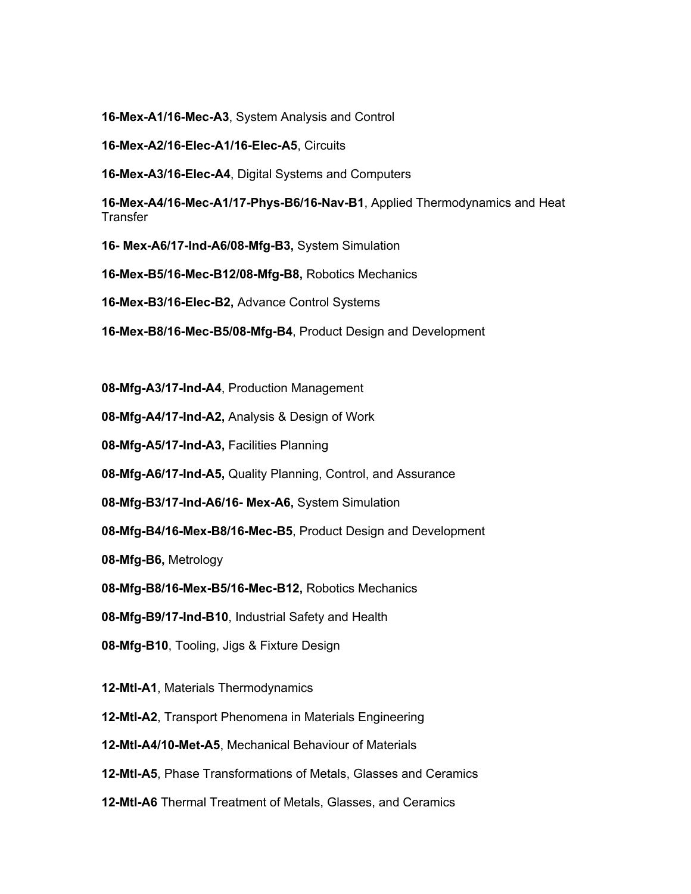**16-Mex-A1/16-Mec-A3**, System Analysis and Control

**16-Mex-A2/16-Elec-A1/16-Elec-A5**, Circuits

**16-Mex-A3/16-Elec-A4**, Digital Systems and Computers

**16-Mex-A4/16-Mec-A1/17-Phys-B6/16-Nav-B1**, Applied Thermodynamics and Heat **Transfer** 

**16- Mex-A6/17-Ind-A6/08-Mfg-B3,** System Simulation

**16-Mex-B5/16-Mec-B12/08-Mfg-B8,** Robotics Mechanics

**16-Mex-B3/16-Elec-B2,** Advance Control Systems

**16-Mex-B8/16-Mec-B5/08-Mfg-B4**, Product Design and Development

**08-Mfg-A3/17-Ind-A4**, Production Management

**08-Mfg-A4/17-Ind-A2,** Analysis & Design of Work

**08-Mfg-A5/17-Ind-A3,** Facilities Planning

**08-Mfg-A6/17-Ind-A5,** Quality Planning, Control, and Assurance

**08-Mfg-B3/17-Ind-A6/16- Mex-A6,** System Simulation

**08-Mfg-B4/16-Mex-B8/16-Mec-B5**, Product Design and Development

**08-Mfg-B6,** Metrology

**08-Mfg-B8/16-Mex-B5/16-Mec-B12,** Robotics Mechanics

**08-Mfg-B9/17-Ind-B10**, Industrial Safety and Health

**08-Mfg-B10**, Tooling, Jigs & Fixture Design

**12-Mtl-A1**, Materials Thermodynamics

**12-Mtl-A2**, Transport Phenomena in Materials Engineering

**12-Mtl-A4/10-Met-A5**, Mechanical Behaviour of Materials

**12-Mtl-A5**, Phase Transformations of Metals, Glasses and Ceramics

**12-Mtl-A6** Thermal Treatment of Metals, Glasses, and Ceramics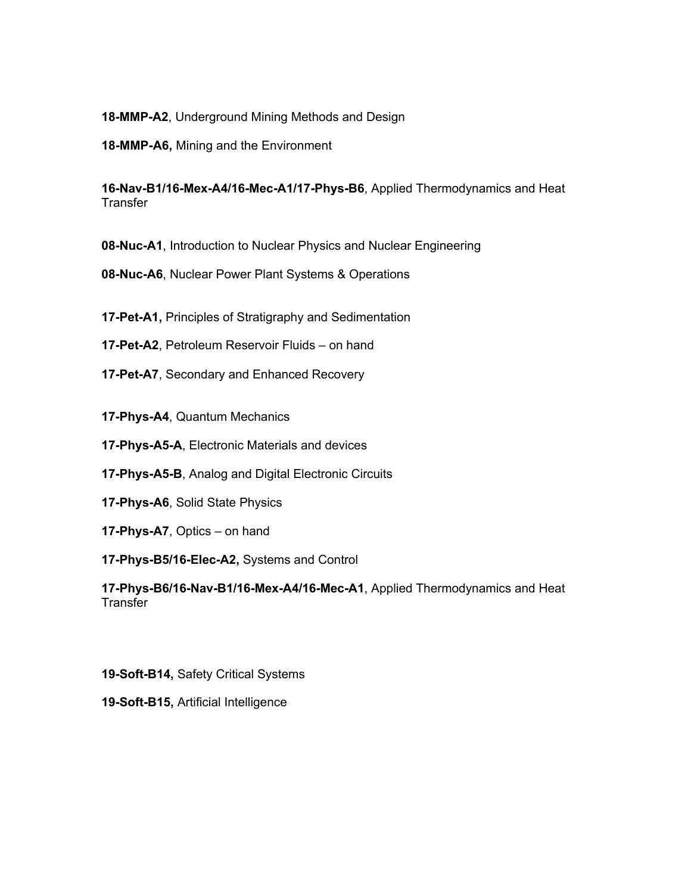**18-MMP-A2**, Underground Mining Methods and Design

**18-MMP-A6,** Mining and the Environment

**16-Nav-B1/16-Mex-A4/16-Mec-A1/17-Phys-B6**, Applied Thermodynamics and Heat **Transfer** 

**08-Nuc-A1**, Introduction to Nuclear Physics and Nuclear Engineering

**08-Nuc-A6**, Nuclear Power Plant Systems & Operations

**17-Pet-A1,** Principles of Stratigraphy and Sedimentation

**17-Pet-A2**, Petroleum Reservoir Fluids – on hand

**17-Pet-A7**, Secondary and Enhanced Recovery

**17-Phys-A4**, Quantum Mechanics

**17-Phys-A5-A**, Electronic Materials and devices

**17-Phys-A5-B**, Analog and Digital Electronic Circuits

**17-Phys-A6**, Solid State Physics

**17-Phys-A7**, Optics – on hand

**17-Phys-B5/16-Elec-A2,** Systems and Control

**17-Phys-B6/16-Nav-B1/16-Mex-A4/16-Mec-A1**, Applied Thermodynamics and Heat **Transfer** 

**19-Soft-B14,** Safety Critical Systems

**19-Soft-B15,** Artificial Intelligence